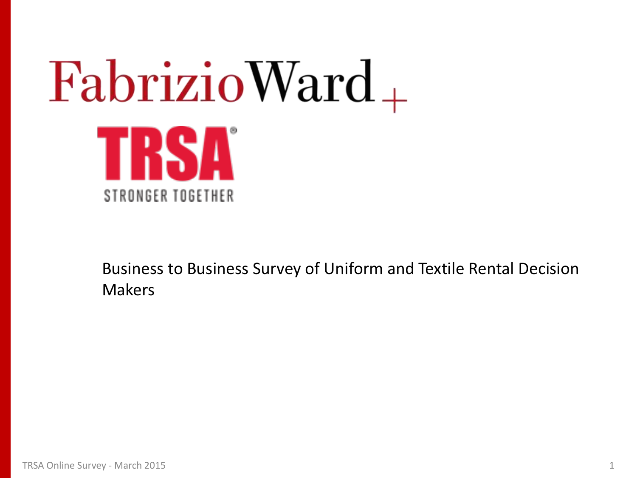# $FabrizioWard_+$ TRSA STRONGER TOGETHER

Business to Business Survey of Uniform and Textile Rental Decision Makers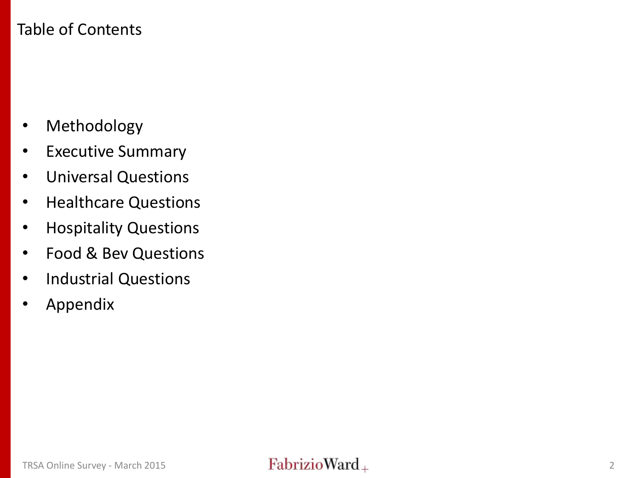### Table of Contents

- Methodology
- Executive Summary
- Universal Questions
- Healthcare Questions
- Hospitality Questions
- Food & Bev Questions
- Industrial Questions
- Appendix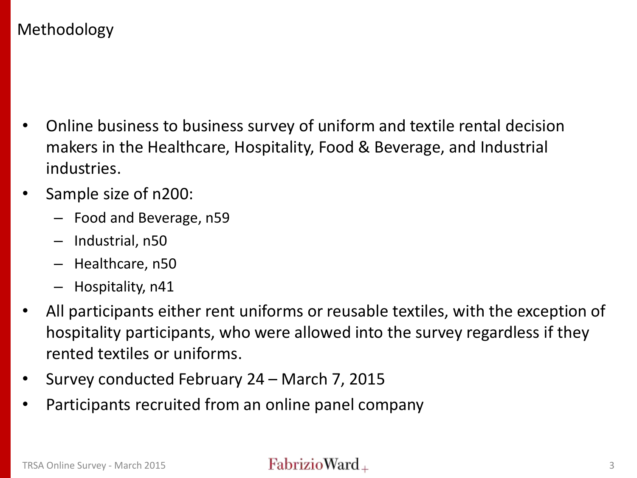### Methodology

- Online business to business survey of uniform and textile rental decision makers in the Healthcare, Hospitality, Food & Beverage, and Industrial industries.
- Sample size of n200:
	- Food and Beverage, n59
	- Industrial, n50
	- Healthcare, n50
	- Hospitality, n41
- All participants either rent uniforms or reusable textiles, with the exception of hospitality participants, who were allowed into the survey regardless if they rented textiles or uniforms.
- Survey conducted February 24 March 7, 2015
- Participants recruited from an online panel company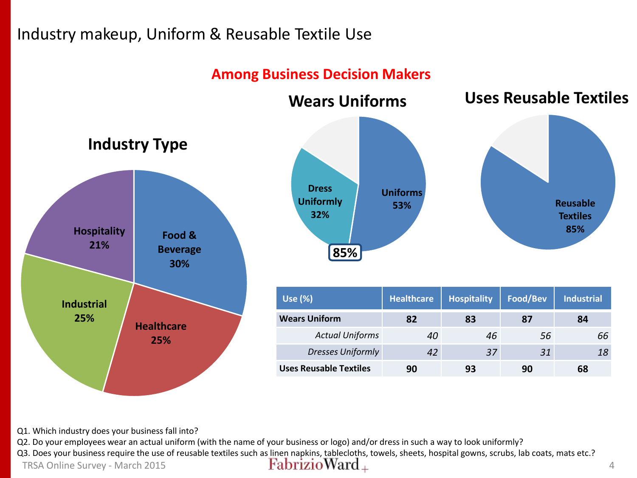### Industry makeup, Uniform & Reusable Textile Use

### **Among Business Decision Makers**



Q1. Which industry does your business fall into?

Q2. Do your employees wear an actual uniform (with the name of your business or logo) and/or dress in such a way to look uniformly?

Q3. Does your business require the use of reusable textiles such as linen napkins, tablecloths, towels, sheets, hospital gowns, scrubs, lab coats, mats etc.?<br>  $\frac{FabrizioWard_{+}}{FabrizioWard_{+}}$ 

TRSA Online Survey - March 2015 **4 Habrizio Ward**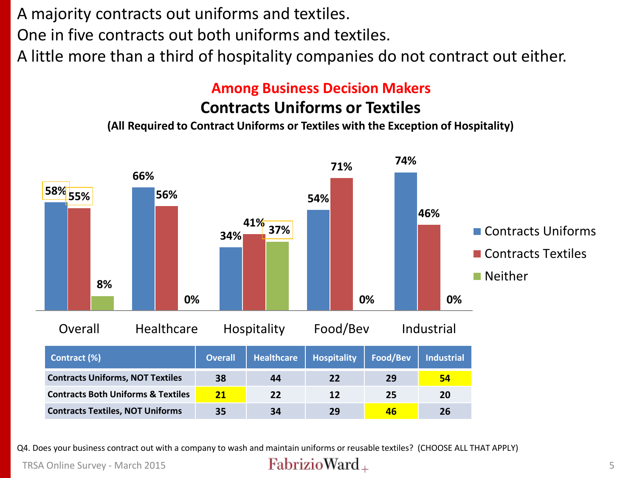A majority contracts out uniforms and textiles.

One in five contracts out both uniforms and textiles.

A little more than a third of hospitality companies do not contract out either.

### **Among Business Decision Makers**

### **Contracts Uniforms or Textiles**

**(All Required to Contract Uniforms or Textiles with the Exception of Hospitality)**



Q4. Does your business contract out with a company to wash and maintain uniforms or reusable textiles? (CHOOSE ALL THAT APPLY)

TRSA Online Survey - March 2015 **Fabrizio Ward**  $\pm$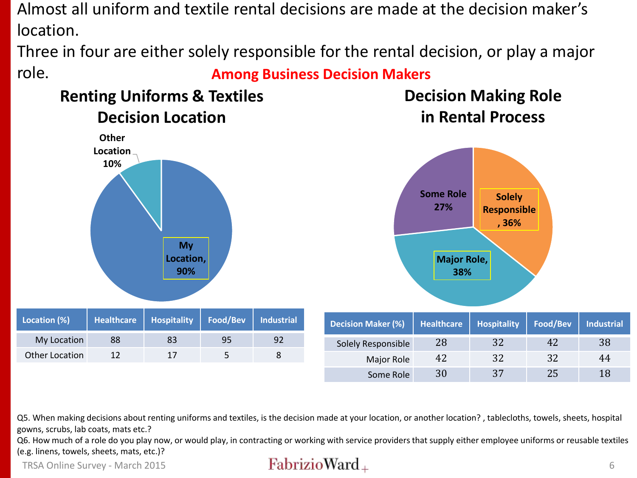Almost all uniform and textile rental decisions are made at the decision maker's location.

Three in four are either solely responsible for the rental decision, or play a major role. **Among Business Decision Makers**

### **Renting Uniforms & Textiles Decision Location**

**Decision Making Role in Rental Process**



Q5. When making decisions about renting uniforms and textiles, is the decision made at your location, or another location? , tablecloths, towels, sheets, hospital gowns, scrubs, lab coats, mats etc.?

Q6. How much of a role do you play now, or would play, in contracting or working with service providers that supply either employee uniforms or reusable textiles (e.g. linens, towels, sheets, mats, etc.)?

TRSA Online Survey - March 2015 **Fabrizio Ward**  $\pm$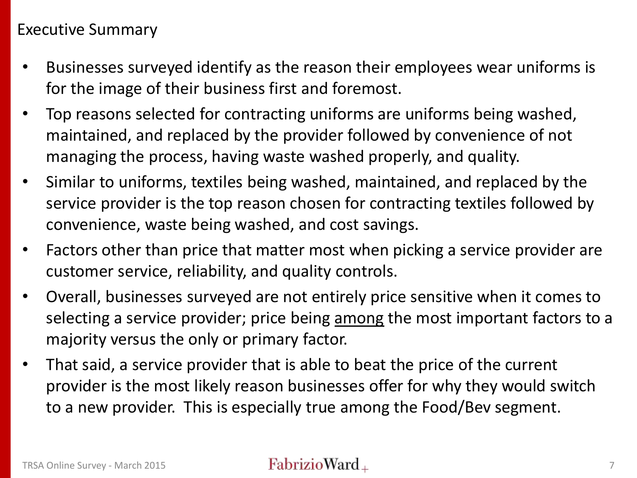### Executive Summary

- Businesses surveyed identify as the reason their employees wear uniforms is for the image of their business first and foremost.
- Top reasons selected for contracting uniforms are uniforms being washed, maintained, and replaced by the provider followed by convenience of not managing the process, having waste washed properly, and quality.
- Similar to uniforms, textiles being washed, maintained, and replaced by the service provider is the top reason chosen for contracting textiles followed by convenience, waste being washed, and cost savings.
- Factors other than price that matter most when picking a service provider are customer service, reliability, and quality controls.
- Overall, businesses surveyed are not entirely price sensitive when it comes to selecting a service provider; price being among the most important factors to a majority versus the only or primary factor.
- That said, a service provider that is able to beat the price of the current provider is the most likely reason businesses offer for why they would switch to a new provider. This is especially true among the Food/Bev segment.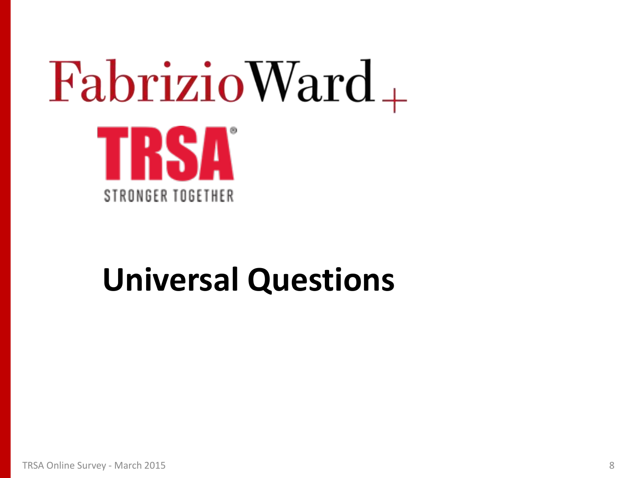# $FabrizioWard_+$ TRSA STRONGER TOGETHER

## **Universal Questions**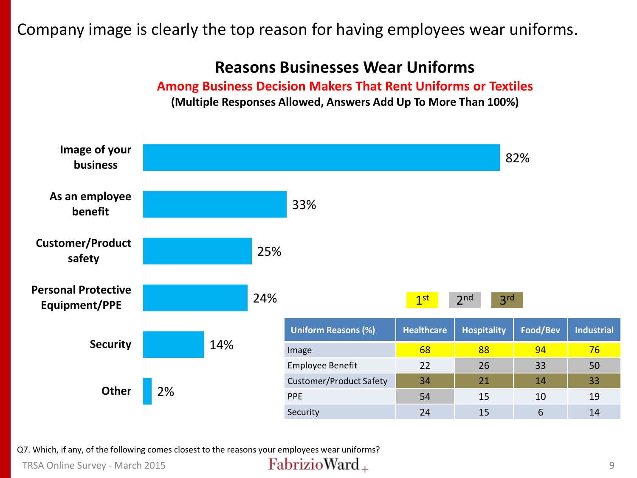### Company image is clearly the top reason for having employees wear uniforms.

### **Reasons Businesses Wear Uniforms**

**Among Business Decision Makers That Rent Uniforms or Textiles (Multiple Responses Allowed, Answers Add Up To More Than 100%)**



Q7. Which, if any, of the following comes closest to the reasons your employees wear uniforms?

TRSA Online Survey - March 2015 9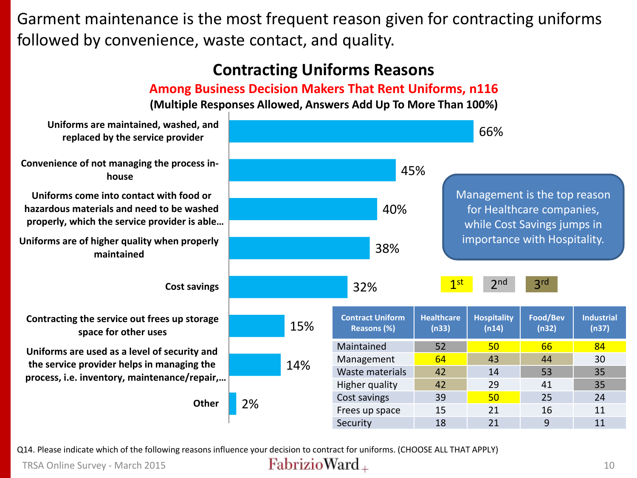Garment maintenance is the most frequent reason given for contracting uniforms followed by convenience, waste contact, and quality.

## **Contracting Uniforms Reasons**

### **Among Business Decision Makers That Rent Uniforms, n116**

### **(Multiple Responses Allowed, Answers Add Up To More Than 100%)**



Q14. Please indicate which of the following reasons influence your decision to contract for uniforms. (CHOOSE ALL THAT APPLY)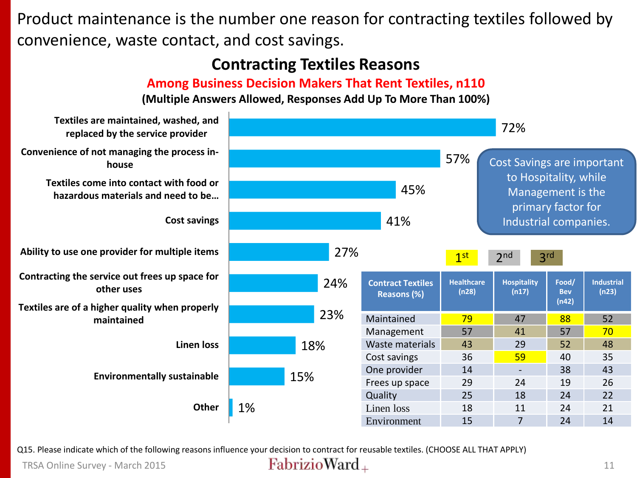Product maintenance is the number one reason for contracting textiles followed by convenience, waste contact, and cost savings.

### **Contracting Textiles Reasons**

### **Among Business Decision Makers That Rent Textiles, n110**

**(Multiple Answers Allowed, Responses Add Up To More Than 100%)**



Q15. Please indicate which of the following reasons influence your decision to contract for reusable textiles. (CHOOSE ALL THAT APPLY)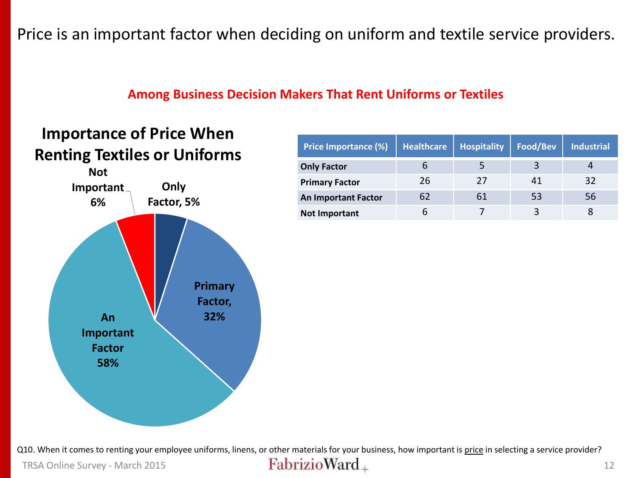Price is an important factor when deciding on uniform and textile service providers.

### **Among Business Decision Makers That Rent Uniforms or Textiles**

### **Importance of Price When Renting Textiles or Uniforms**



| <b>Price Importance (%)</b> | <b>Healthcare</b> | <b>Hospitality</b> | Food/Bev | <b>Industrial</b> |
|-----------------------------|-------------------|--------------------|----------|-------------------|
| <b>Only Factor</b>          | O                 |                    |          |                   |
| <b>Primary Factor</b>       | 26                | 27                 | 41       | 32                |
| <b>An Important Factor</b>  | 62                | 61                 | 53       | 56                |
| <b>Not Important</b>        | b                 |                    |          |                   |

Q10. When it comes to renting your employee uniforms, linens, or other materials for your business, how important is price in selecting a service provider? TRSA Online Survey - March 2015 **12**  $\text{FabrizioWard}_+$  12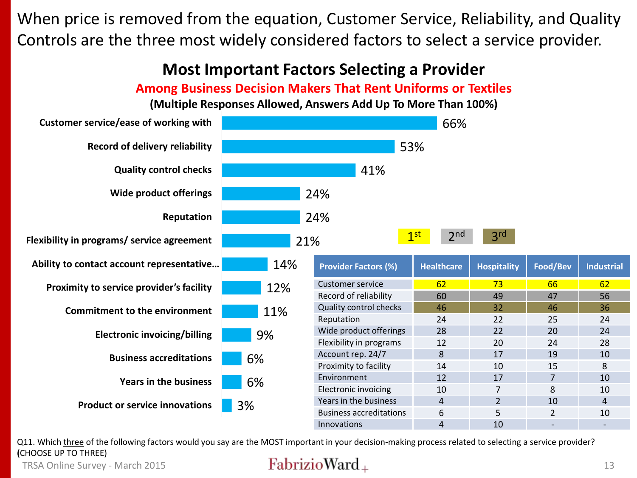When price is removed from the equation, Customer Service, Reliability, and Quality Controls are the three most widely considered factors to select a service provider.

### **Most Important Factors Selecting a Provider**

**Among Business Decision Makers That Rent Uniforms or Textiles**

**(Multiple Responses Allowed, Answers Add Up To More Than 100%)**



Q11. Which three of the following factors would you say are the MOST important in your decision-making process related to selecting a service provider? **(**CHOOSE UP TO THREE)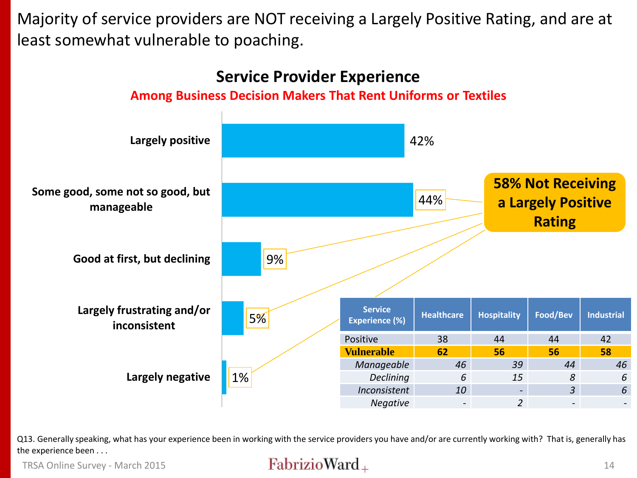Majority of service providers are NOT receiving a Largely Positive Rating, and are at least somewhat vulnerable to poaching.



Q13. Generally speaking, what has your experience been in working with the service providers you have and/or are currently working with? That is, generally has the experience been . . .

### TRSA Online Survey - March 2015 **14**  $\frac{FabrizioWard_+}{14}$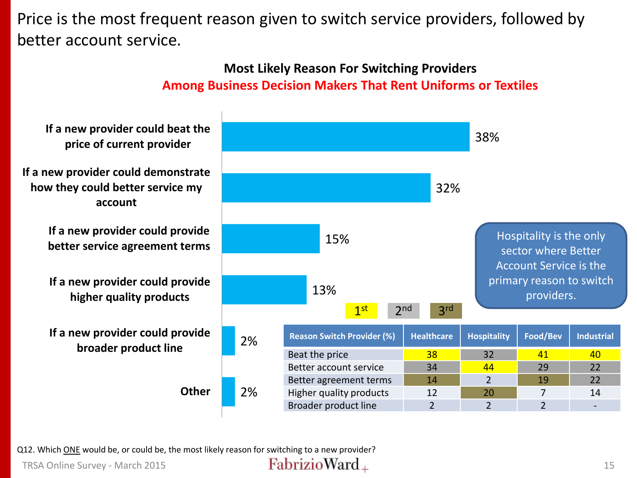Price is the most frequent reason given to switch service providers, followed by better account service.

### **Most Likely Reason For Switching Providers Among Business Decision Makers That Rent Uniforms or Textiles**



Q12. Which ONE would be, or could be, the most likely reason for switching to a new provider?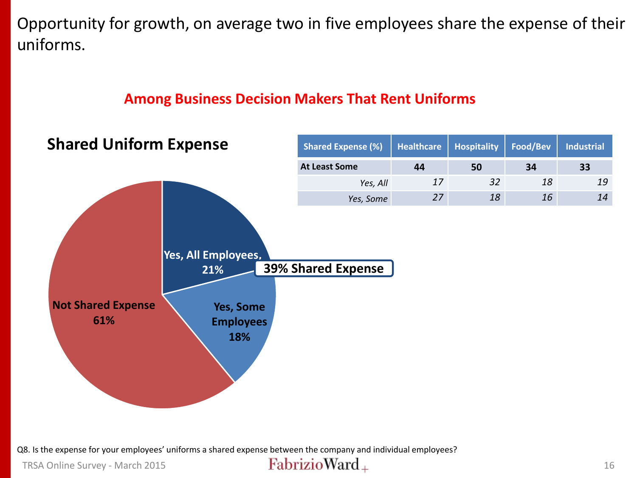Opportunity for growth, on average two in five employees share the expense of their uniforms.

### **Among Business Decision Makers That Rent Uniforms**



Q8. Is the expense for your employees' uniforms a shared expense between the company and individual employees?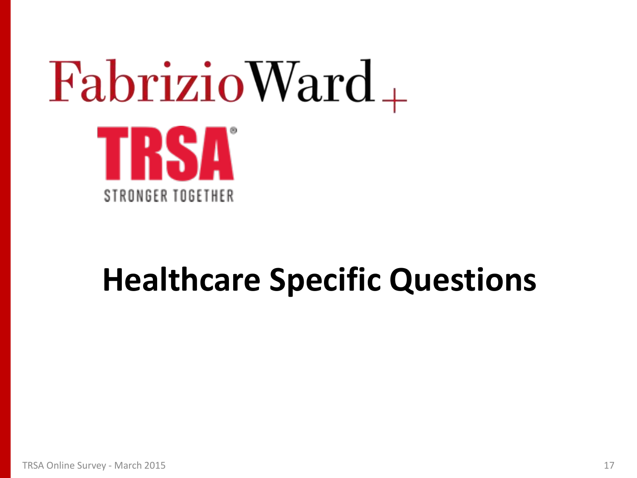# $FabrizioWard_+$ TRSA STRONGER TOGETHER

## **Healthcare Specific Questions**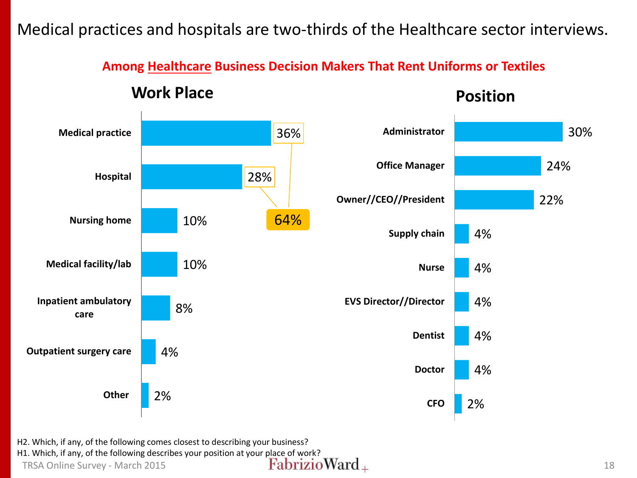Medical practices and hospitals are two-thirds of the Healthcare sector interviews.

**Among Healthcare Business Decision Makers That Rent Uniforms or Textiles**

### **Work Place**

**Position**



H2. Which, if any, of the following comes closest to describing your business?

H1. Which, if any, of the following describes your position at your place of work?<br>
TRSA Online Survey - March 2015<br>  $\textbf{FabrizioWard}_{+}$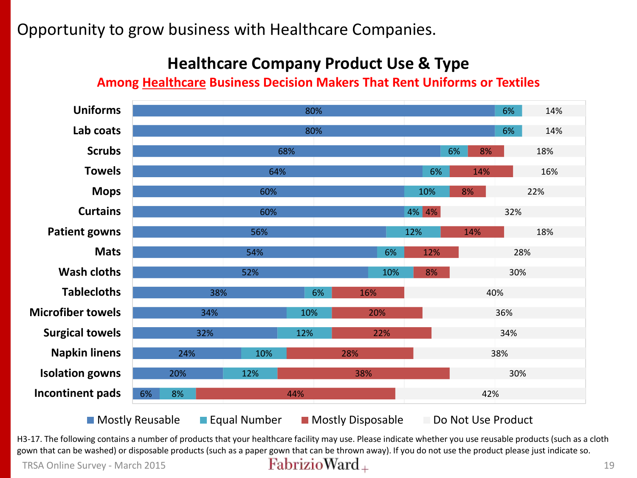Opportunity to grow business with Healthcare Companies.

### **Healthcare Company Product Use & Type**

### **Among Healthcare Business Decision Makers That Rent Uniforms or Textiles**



H3-17. The following contains a number of products that your healthcare facility may use. Please indicate whether you use reusable products (such as a cloth gown that can be washed) or disposable products (such as a paper gown that can be thrown away). If you do not use the product please just indicate so.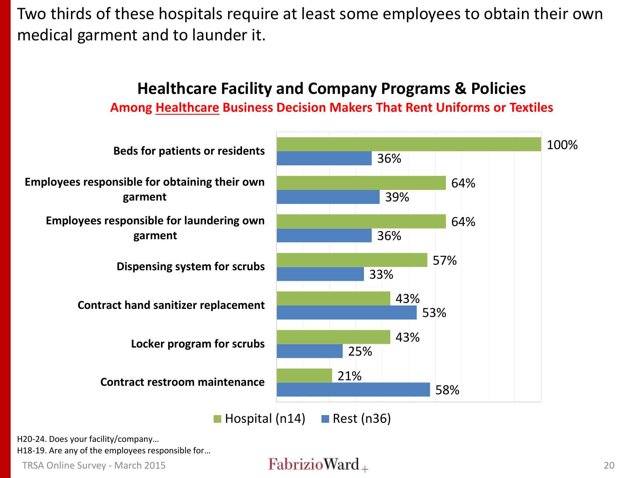Two thirds of these hospitals require at least some employees to obtain their own medical garment and to launder it.



H20-24. Does your facility/company…

H18-19. Are any of the employees responsible for…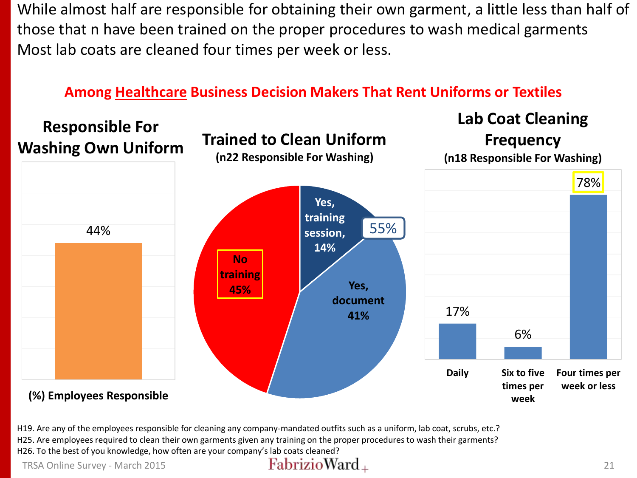While almost half are responsible for obtaining their own garment, a little less than half of those that n have been trained on the proper procedures to wash medical garments Most lab coats are cleaned four times per week or less.

### **Among Healthcare Business Decision Makers That Rent Uniforms or Textiles**



H19. Are any of the employees responsible for cleaning any company-mandated outfits such as a uniform, lab coat, scrubs, etc.? H25. Are employees required to clean their own garments given any training on the proper procedures to wash their garments? H26. To the best of you knowledge, how often are your company's lab coats cleaned?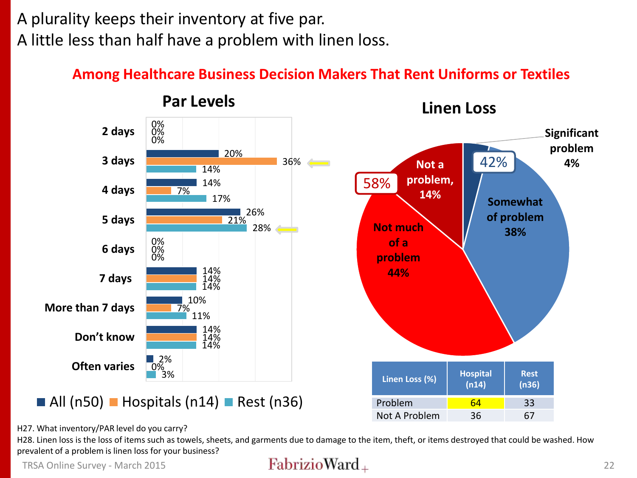## A plurality keeps their inventory at five par. A little less than half have a problem with linen loss.

### **Among Healthcare Business Decision Makers That Rent Uniforms or Textiles**



H27. What inventory/PAR level do you carry?

H28. Linen loss is the loss of items such as towels, sheets, and garments due to damage to the item, theft, or items destroyed that could be washed. How prevalent of a problem is linen loss for your business?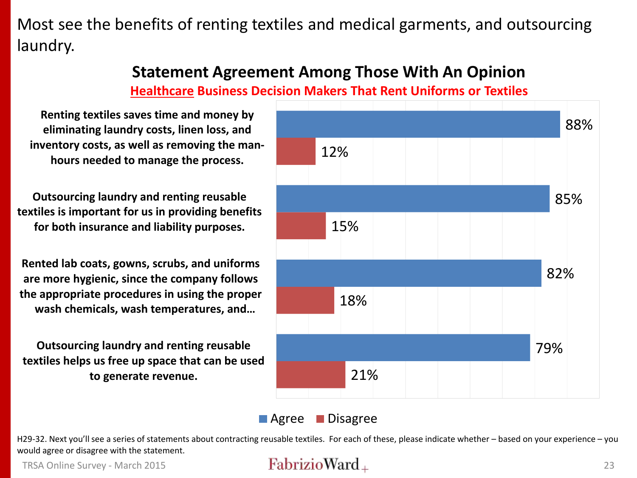Most see the benefits of renting textiles and medical garments, and outsourcing laundry.

### **Statement Agreement Among Those With An Opinion**

### **Healthcare Business Decision Makers That Rent Uniforms or Textiles**

**Renting textiles saves time and money by eliminating laundry costs, linen loss, and inventory costs, as well as removing the manhours needed to manage the process.**

**Outsourcing laundry and renting reusable textiles is important for us in providing benefits for both insurance and liability purposes.**

**Rented lab coats, gowns, scrubs, and uniforms are more hygienic, since the company follows the appropriate procedures in using the proper wash chemicals, wash temperatures, and…**

**Outsourcing laundry and renting reusable textiles helps us free up space that can be used to generate revenue.**



### **Agree** Disagree

H29-32. Next you'll see a series of statements about contracting reusable textiles. For each of these, please indicate whether – based on your experience – you would agree or disagree with the statement.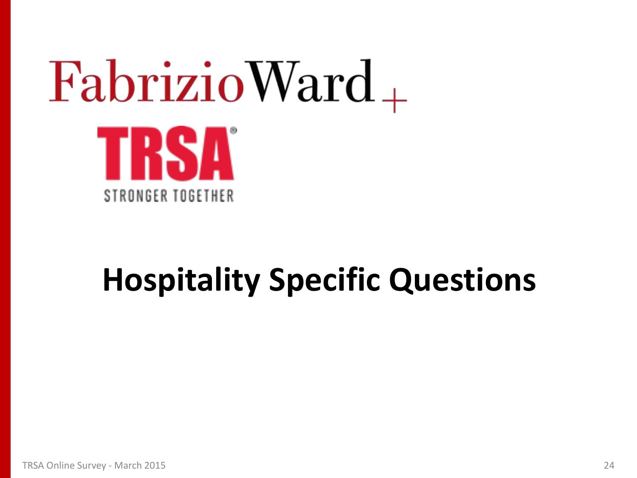# $FabrizioWard_+$ TRSA STRONGER TOGETHER

## **Hospitality Specific Questions**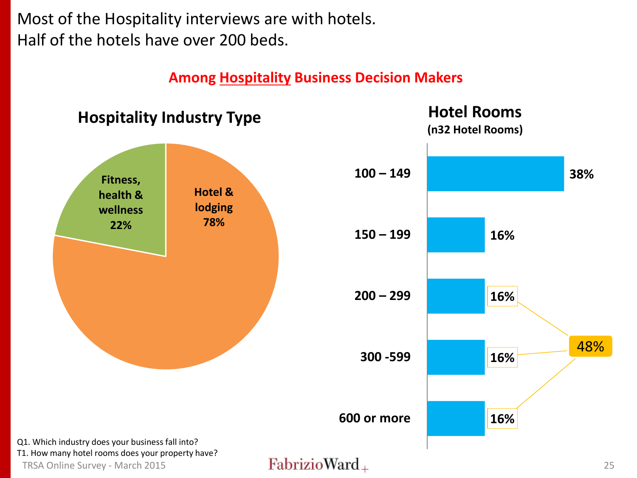Most of the Hospitality interviews are with hotels. Half of the hotels have over 200 beds.

**Among Hospitality Business Decision Makers**

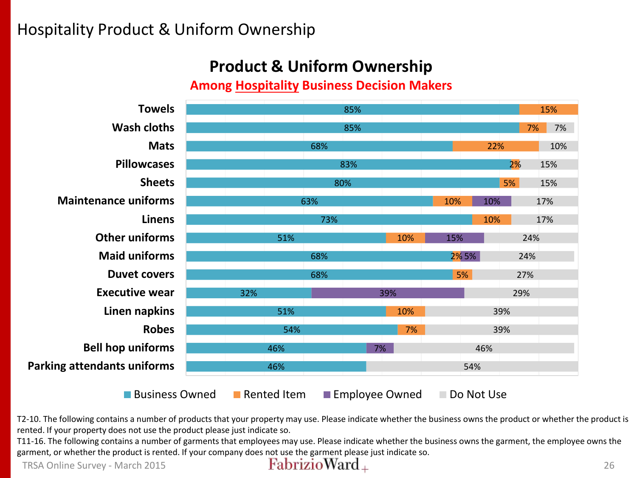### Hospitality Product & Uniform Ownership

### **Product & Uniform Ownership**

**Among Hospitality Business Decision Makers**



T2-10. The following contains a number of products that your property may use. Please indicate whether the business owns the product or whether the product is rented. If your property does not use the product please just indicate so.

T11-16. The following contains a number of garments that employees may use. Please indicate whether the business owns the garment, the employee owns the garment, or whether the product is rented. If your company does not use the garment please just indicate so.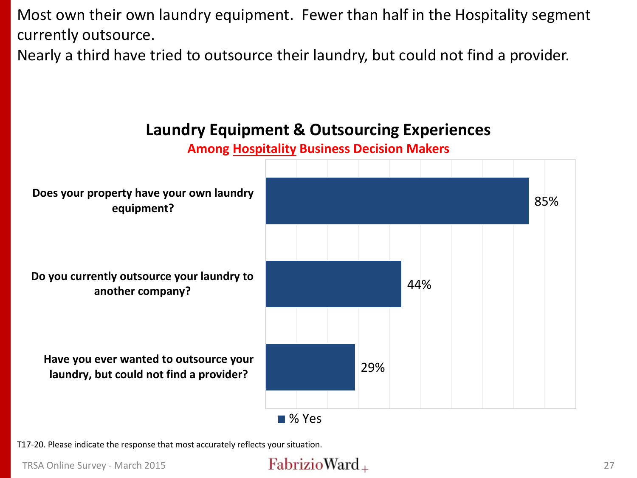Most own their own laundry equipment. Fewer than half in the Hospitality segment currently outsource.

Nearly a third have tried to outsource their laundry, but could not find a provider.



**Laundry Equipment & Outsourcing Experiences**

T17-20. Please indicate the response that most accurately reflects your situation.

### TRSA Online Survey - March 2015 **27**  $\frac{FabrizioWard_+}{(1+\epsilon)^2}$  27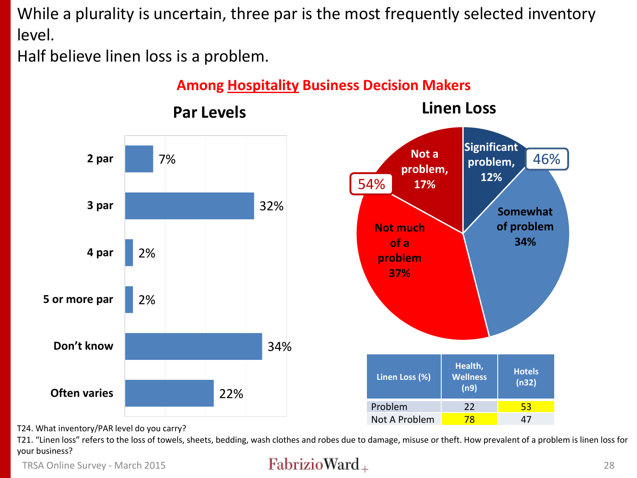While a plurality is uncertain, three par is the most frequently selected inventory level.

Half believe linen loss is a problem.



T24. What inventory/PAR level do you carry?

T21. "Linen loss" refers to the loss of towels, sheets, bedding, wash clothes and robes due to damage, misuse or theft. How prevalent of a problem is linen loss for your business?

TRSA Online Survey - March 2015  $\qquad \qquad$   $\qquad \qquad$   $\qquad \qquad$   $\qquad \qquad$   $\qquad \qquad$   $\qquad \qquad$   $\qquad \qquad$   $\qquad \qquad$   $\qquad \qquad$   $\qquad \qquad$   $\qquad \qquad$   $\qquad \qquad$   $\qquad \qquad$   $\qquad \qquad$   $\qquad \qquad$   $\qquad \qquad$   $\qquad \qquad$   $\qquad \qquad$   $\qquad \qquad$   $\qquad \qquad$   $\qquad \qquad$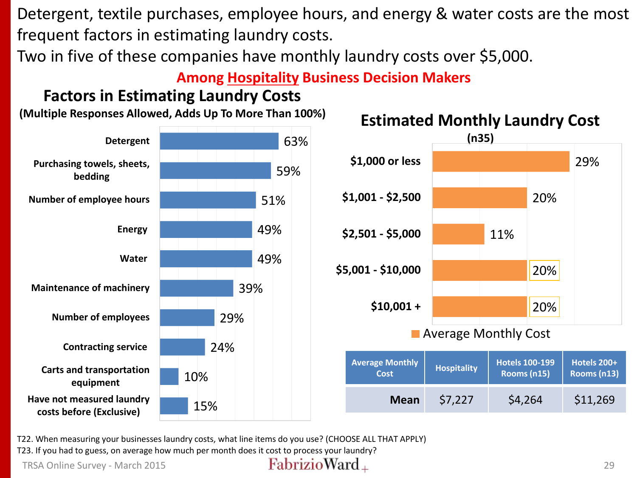Detergent, textile purchases, employee hours, and energy & water costs are the most frequent factors in estimating laundry costs.

Two in five of these companies have monthly laundry costs over \$5,000.

### **Among Hospitality Business Decision Makers**

### **Factors in Estimating Laundry Costs**

**(Multiple Responses Allowed, Adds Up To More Than 100%)**





**Mean** \$7,227 \$4,264 \$11,269

| <b>Estimated Monthly Laundry Cos</b> |       |  |
|--------------------------------------|-------|--|
|                                      | 102F1 |  |

T22. When measuring your businesses laundry costs, what line items do you use? (CHOOSE ALL THAT APPLY)

T23. If you had to guess, on average how much per month does it cost to process your laundry?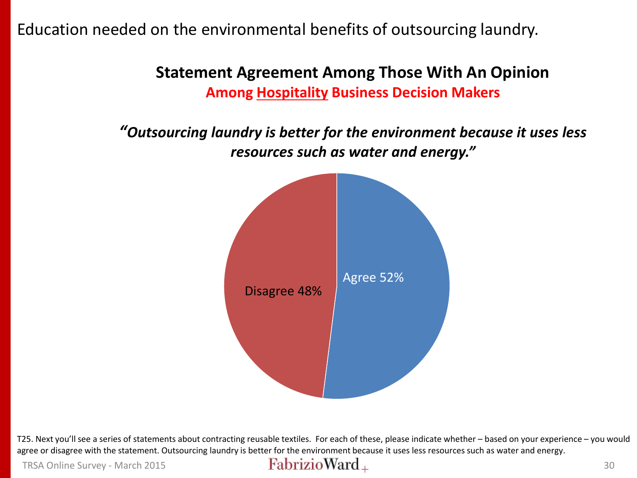Education needed on the environmental benefits of outsourcing laundry.

**Statement Agreement Among Those With An Opinion Among Hospitality Business Decision Makers**

*"Outsourcing laundry is better for the environment because it uses less resources such as water and energy."*



T25. Next you'll see a series of statements about contracting reusable textiles. For each of these, please indicate whether – based on your experience – you would agree or disagree with the statement. Outsourcing laundry is better for the environment because it uses less resources such as water and energy.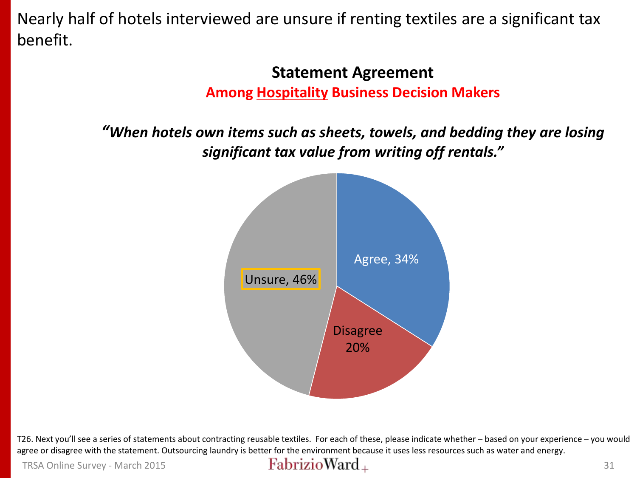Nearly half of hotels interviewed are unsure if renting textiles are a significant tax benefit.

### **Statement Agreement Among Hospitality Business Decision Makers**

*"When hotels own items such as sheets, towels, and bedding they are losing significant tax value from writing off rentals."*



T26. Next you'll see a series of statements about contracting reusable textiles. For each of these, please indicate whether – based on your experience – you would agree or disagree with the statement. Outsourcing laundry is better for the environment because it uses less resources such as water and energy.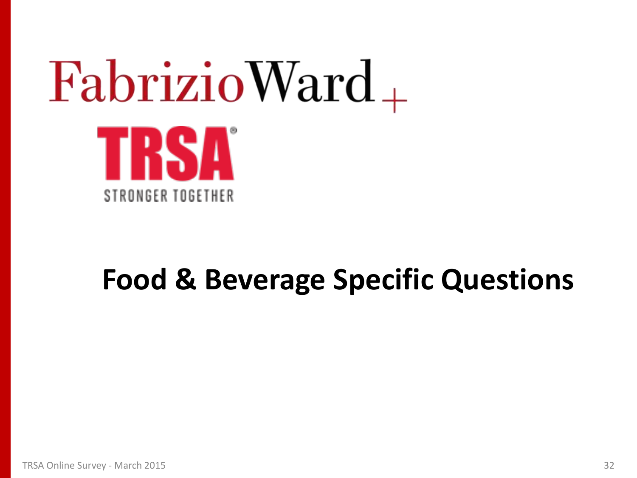# $FabrizioWard_+$ TRSA STRONGER TOGETHER

## **Food & Beverage Specific Questions**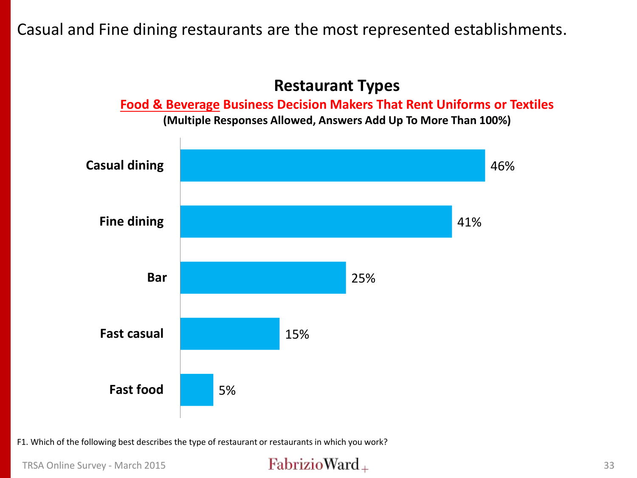Casual and Fine dining restaurants are the most represented establishments.

### **Restaurant Types**

**Food & Beverage Business Decision Makers That Rent Uniforms or Textiles**

**(Multiple Responses Allowed, Answers Add Up To More Than 100%)**



F1. Which of the following best describes the type of restaurant or restaurants in which you work?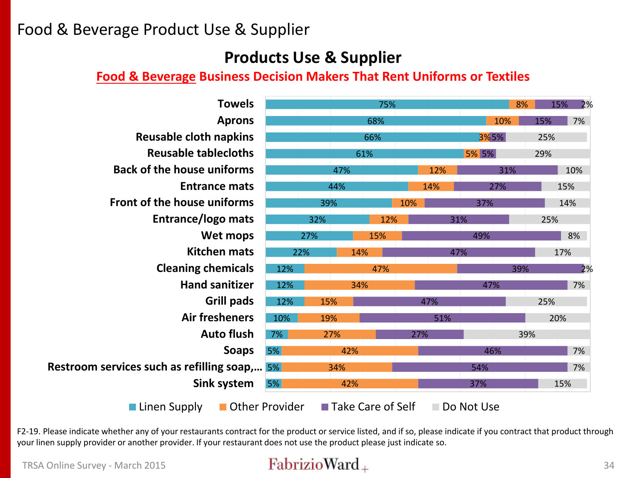### Food & Beverage Product Use & Supplier

### **Products Use & Supplier**

### **Food & Beverage Business Decision Makers That Rent Uniforms or Textiles**

| <b>Towels</b>                                | 75% |     |     |                     |     | 8%  |            | 2%<br>15% |     |     |  |
|----------------------------------------------|-----|-----|-----|---------------------|-----|-----|------------|-----------|-----|-----|--|
| <b>Aprons</b>                                |     |     |     | 68%                 |     |     |            | 10%       | 15% | 7%  |  |
| <b>Reusable cloth napkins</b>                | 66% |     |     | 3%5%                |     |     | 25%        |           |     |     |  |
| <b>Reusable tablecloths</b>                  | 61% |     |     | 5% 5%               |     |     | 29%        |           |     |     |  |
| <b>Back of the house uniforms</b>            | 47% |     |     |                     | 12% |     | 31%        |           | 10% |     |  |
| <b>Entrance mats</b>                         | 44% |     |     |                     | 14% |     | 27%        | 15%       |     |     |  |
| Front of the house uniforms                  | 39% |     |     | 10%                 | 37% |     |            | 14%       |     |     |  |
| Entrance/logo mats                           | 32% |     | 12% |                     | 31% |     |            | 25%       |     |     |  |
| Wet mops                                     |     | 27% |     | 15%                 |     |     | 49%        |           |     | 8%  |  |
| <b>Kitchen mats</b>                          |     | 22% | 14% |                     |     | 47% |            | 17%       |     |     |  |
| <b>Cleaning chemicals</b>                    | 12% |     |     | 47%                 |     |     |            | 39%       |     | 2%  |  |
| <b>Hand sanitizer</b>                        | 12% | 34% |     |                     |     |     |            | 47%       |     | 7%  |  |
| Grill pads                                   |     | 15% |     |                     |     | 47% |            |           | 25% |     |  |
| <b>Air fresheners</b>                        |     | 19% |     |                     |     | 51% |            |           | 20% |     |  |
| <b>Auto flush</b>                            |     | 27% |     |                     | 27% |     |            | 39%       |     |     |  |
| <b>Soaps</b>                                 | 5%  |     | 42% |                     |     |     |            | 46%       |     | 7%  |  |
| Restroom services such as refilling soap, 5% |     |     | 34% |                     |     |     | 54%        |           |     | 7%  |  |
| Sink system<br>5%                            |     |     | 42% |                     |     |     | 37%        |           |     | 15% |  |
| Linen Supply<br>Other Provider               |     |     |     | ■ Take Care of Self |     |     | Do Not Use |           |     |     |  |

F2-19. Please indicate whether any of your restaurants contract for the product or service listed, and if so, please indicate if you contract that product through your linen supply provider or another provider. If your restaurant does not use the product please just indicate so.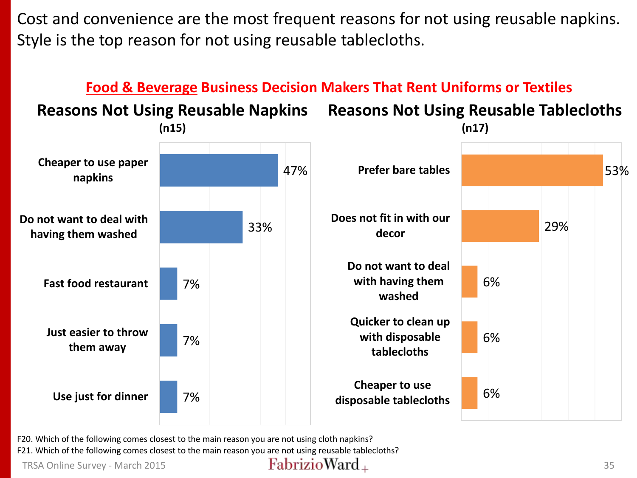Cost and convenience are the most frequent reasons for not using reusable napkins. Style is the top reason for not using reusable tablecloths.



F20. Which of the following comes closest to the main reason you are not using cloth napkins? F21. Which of the following comes closest to the main reason you are not using reusable tablecloths?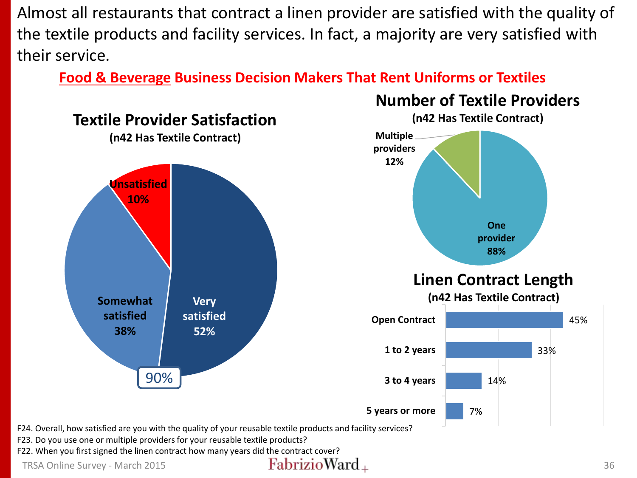Almost all restaurants that contract a linen provider are satisfied with the quality of the textile products and facility services. In fact, a majority are very satisfied with their service.

**Food & Beverage Business Decision Makers That Rent Uniforms or Textiles**

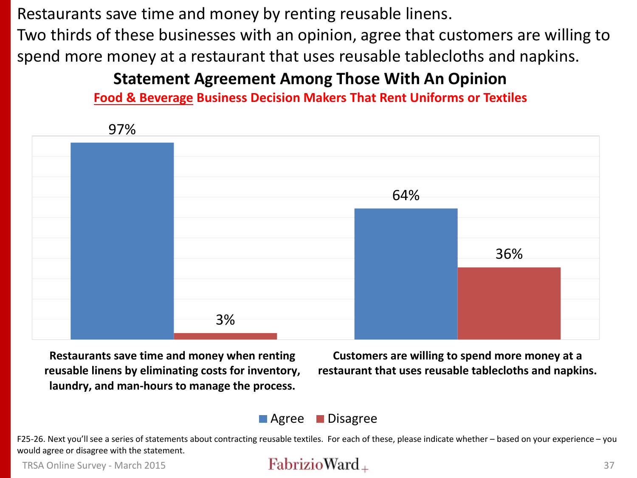Restaurants save time and money by renting reusable linens. Two thirds of these businesses with an opinion, agree that customers are willing to spend more money at a restaurant that uses reusable tablecloths and napkins.

### **Statement Agreement Among Those With An Opinion**

**Food & Beverage Business Decision Makers That Rent Uniforms or Textiles**



**Restaurants save time and money when renting reusable linens by eliminating costs for inventory, laundry, and man-hours to manage the process.**

**Customers are willing to spend more money at a restaurant that uses reusable tablecloths and napkins.**

### **Agree** Disagree

F25-26. Next you'll see a series of statements about contracting reusable textiles. For each of these, please indicate whether – based on your experience – you would agree or disagree with the statement.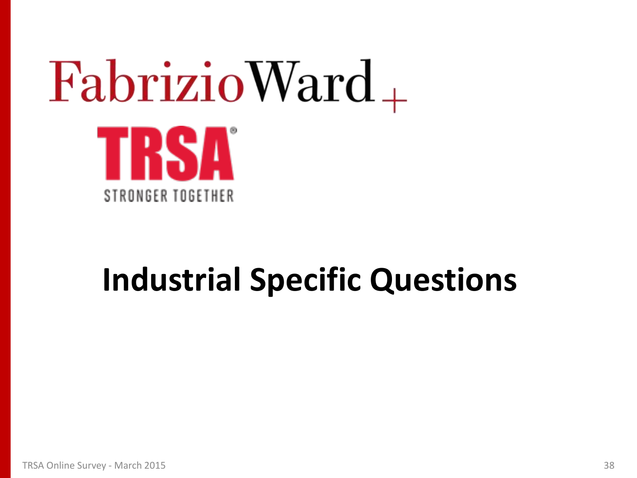# $FabrizioWard_+$ TRSA STRONGER TOGETHER

## **Industrial Specific Questions**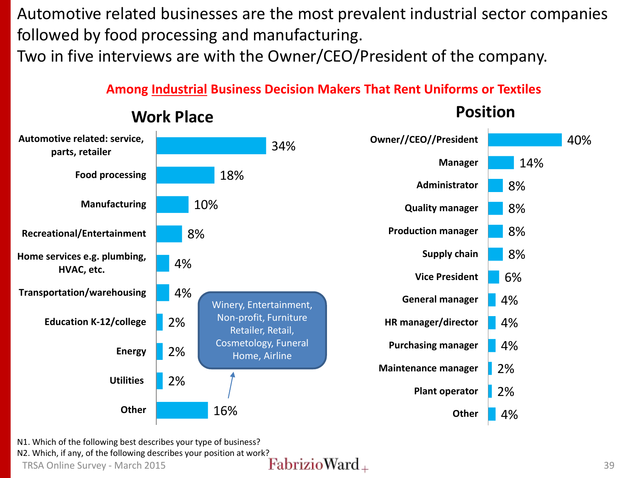Automotive related businesses are the most prevalent industrial sector companies followed by food processing and manufacturing.

Two in five interviews are with the Owner/CEO/President of the company.

### **Among Industrial Business Decision Makers That Rent Uniforms or Textiles**



### **Work Place**

**Position**

N1. Which of the following best describes your type of business?

N2. Which, if any, of the following describes your position at work?<br>
TRSA Online Survey - March 2015 TRSA Online Survey - March 2015  $\bf{FabrizioWard}_{+}$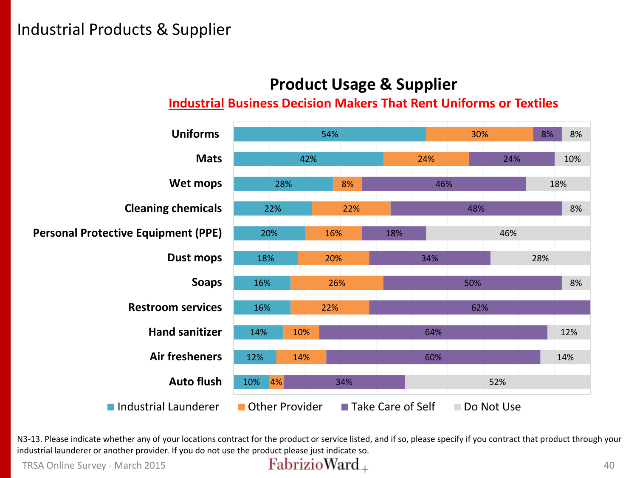## **Product Usage & Supplier**

### **Industrial Business Decision Makers That Rent Uniforms or Textiles**



N3-13. Please indicate whether any of your locations contract for the product or service listed, and if so, please specify if you contract that product through your industrial launderer or another provider. If you do not use the product please just indicate so.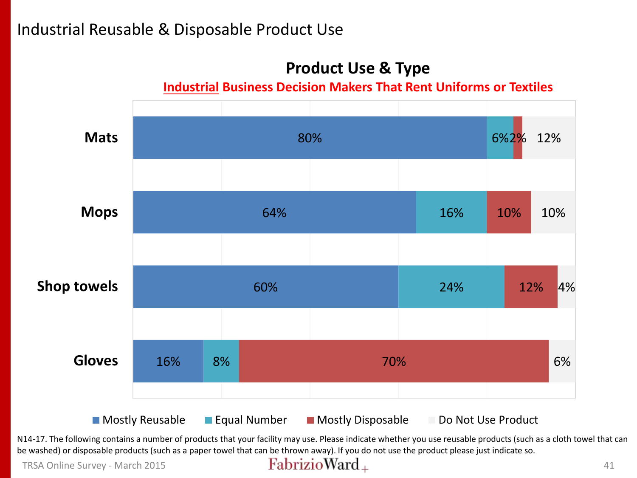### Industrial Reusable & Disposable Product Use

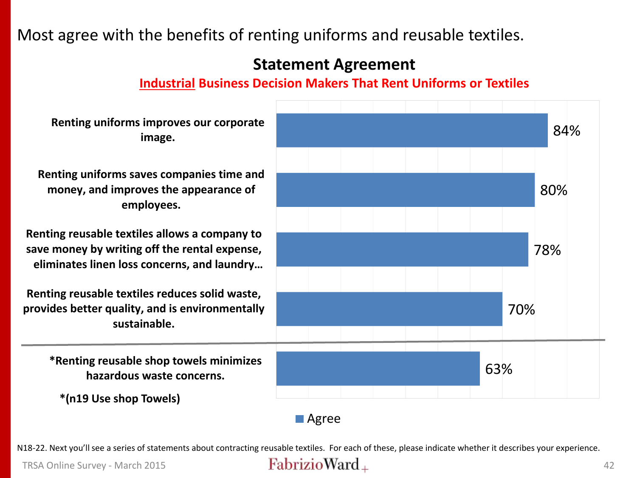### Most agree with the benefits of renting uniforms and reusable textiles.

### **Statement Agreement**

### **Industrial Business Decision Makers That Rent Uniforms or Textiles**

63% 70% 78% 80% 84% **\*Renting reusable shop towels minimizes hazardous waste concerns. Renting reusable textiles reduces solid waste, provides better quality, and is environmentally sustainable. Renting reusable textiles allows a company to save money by writing off the rental expense, eliminates linen loss concerns, and laundry… Renting uniforms saves companies time and money, and improves the appearance of employees. Renting uniforms improves our corporate image.** ■ Agree **\*(n19 Use shop Towels)**

N18-22. Next you'll see a series of statements about contracting reusable textiles. For each of these, please indicate whether it describes your experience.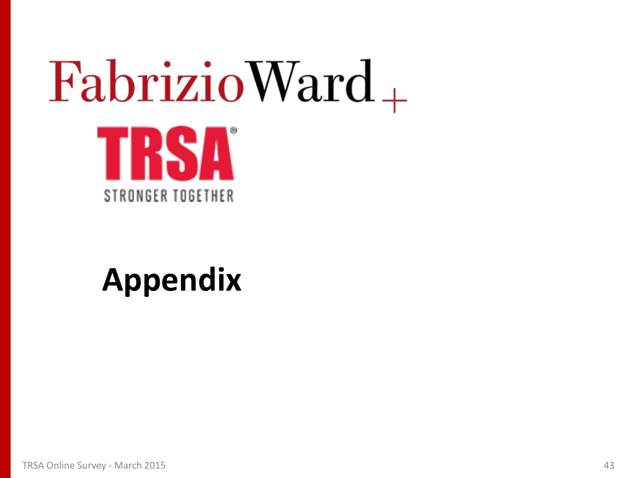# $FabrizioWard_+$ TRSA STRONGER TOGETHER

## **Appendix**